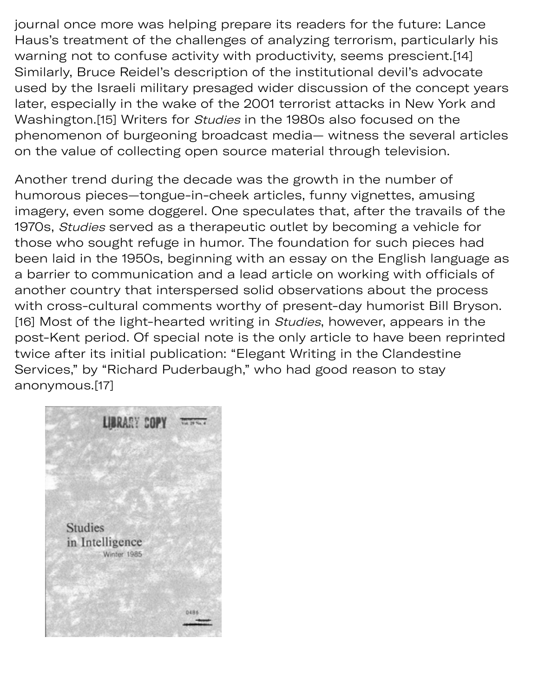journal once more was helping prepare its readers for the future: Lance Haus's treatment of the challenges of analyzing terrorism, particularly his warning not to confuse activity with productivity, seems prescient.[14] Similarly, Bruce Reidel's description of the institutional devil's advocate used by the Israeli military presaged wider discussion of the concept years later, especially in the wake of the 2001 terrorist attacks in New York and Washington.[15] Writers for Studies in the 1980s also focused on the phenomenon of burgeoning broadcast media— witness the several articles on the value of collecting open source material through television.

Another trend during the decade was the growth in the number of humorous pieces—tongue-in-cheek articles, funny vignettes, amusing imagery, even some doggerel. One speculates that, after the travails of the 1970s, Studies served as a therapeutic outlet by becoming a vehicle for those who sought refuge in humor. The foundation for such pieces had been laid in the 1950s, beginning with an essay on the English language as a barrier to communication and a lead article on working with officials of another country that interspersed solid observations about the process with cross-cultural comments worthy of present-day humorist Bill Bryson. [16] Most of the light-hearted writing in Studies, however, appears in the post-Kent period. Of special note is the only article to have been reprinted twice after its initial publication: "Elegant Writing in the Clandestine Services," by "Richard Puderbaugh," who had good reason to stay anonymous.[17]

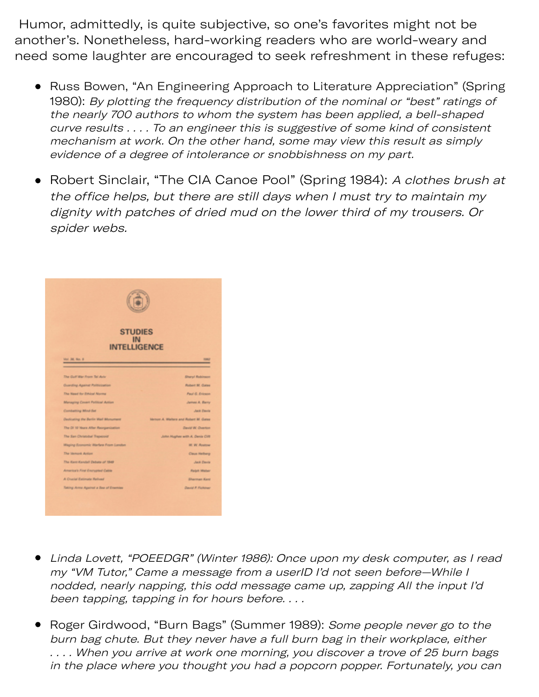Humor, admittedly, is quite subjective, so one's favorites might not be another's. Nonetheless, hard-working readers who are world-weary and need some laughter are encouraged to seek refreshment in these refuges:

- Russ Bowen, "An Engineering Approach to Literature Appreciation" (Spring 1980): By plotting the frequency distribution of the nominal or "best" ratings of the nearly 700 authors to whom the system has been applied, a bell-shaped curve results . . . . To an engineer this is suggestive of some kind of consistent mechanism at work. On the other hand, some may view this result as simply evidence of a degree of intolerance or snobbishness on my part.
- Robert Sinclair, "The CIA Canoe Pool" (Spring 1984): A clothes brush at the office helps, but there are still days when I must try to maintain my dignity with patches of dried mud on the lower third of my trousers. Or spider webs.



- Linda Lovett, "POEEDGR" (Winter 1986): Once upon my desk computer, as I read my "VM Tutor," Came a message from a userID I'd not seen before—While I nodded, nearly napping, this odd message came up, zapping All the input I'd been tapping, tapping in for hours before. . . .
- Roger Girdwood, "Burn Bags" (Summer 1989): Some people never go to the burn bag chute. But they never have a full burn bag in their workplace, either . . . . When you arrive at work one morning, you discover a trove of 25 burn bags in the place where you thought you had a popcorn popper. Fortunately, you can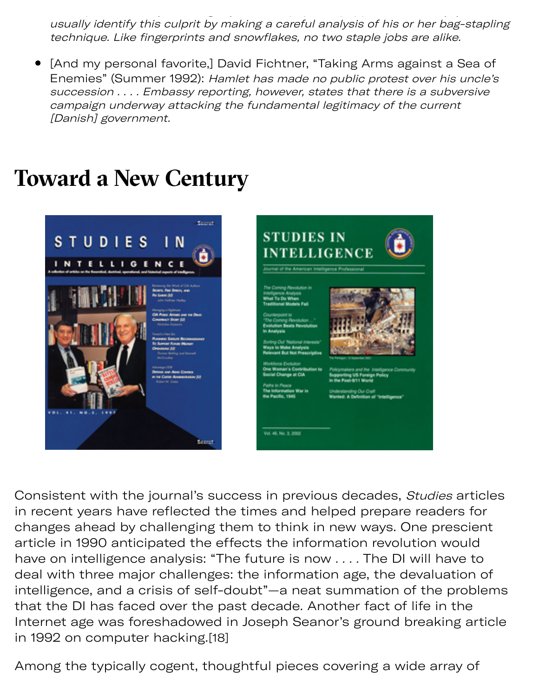in the place where you thought you had a popcorn popper. Fortunately, you can usually identify this culprit by making a careful analysis of his or her bag-stapling technique. Like fingerprints and snowflakes, no two staple jobs are alike.

[And my personal favorite,] David Fichtner, "Taking Arms against a Sea of Enemies" (Summer 1992): Hamlet has made no public protest over his uncle's succession . . . . Embassy reporting, however, states that there is a subversive campaign underway attacking the fundamental legitimacy of the current [Danish] government.

## **Toward a New Century**





Consistent with the journal's success in previous decades, Studies articles in recent years have reflected the times and helped prepare readers for changes ahead by challenging them to think in new ways. One prescient article in 1990 anticipated the effects the information revolution would have on intelligence analysis: "The future is now . . . . The DI will have to deal with three major challenges: the information age, the devaluation of intelligence, and a crisis of self-doubt"—a neat summation of the problems that the DI has faced over the past decade. Another fact of life in the Internet age was foreshadowed in Joseph Seanor's ground breaking article in 1992 on computer hacking.[18]

Among the typically cogent, thoughtful pieces covering a wide array of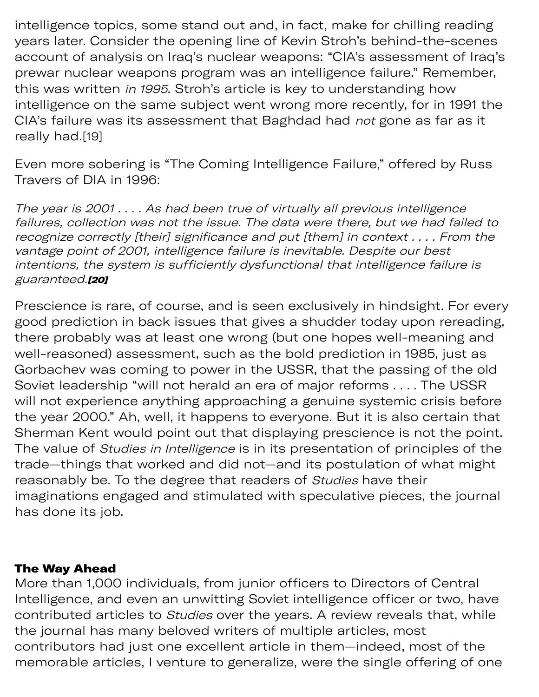$A$  typically congress complete typically congress covering a wide array of  $\mathcal{A}$ intelligence topics, some stand out and, in fact, make for chilling reading years later. Consider the opening line of Kevin Stroh's behind-the-scenes account of analysis on Iraq's nuclear weapons: "CIA's assessment of Iraq's prewar nuclear weapons program was an intelligence failure." Remember, this was written in 1995. Stroh's article is key to understanding how intelligence on the same subject went wrong more recently, for in 1991 the CIA's failure was its assessment that Baghdad had not gone as far as it really had.[19]

Even more sobering is "The Coming Intelligence Failure," offered by Russ Travers of DIA in 1996:

The year is 2001 . . . . As had been true of virtually all previous intelligence failures, collection was not the issue. The data were there, but we had failed to recognize correctly [their] significance and put [them] in context . . . . From the vantage point of 2001, intelligence failure is inevitable. Despite our best intentions, the system is sufficiently dysfunctional that intelligence failure is guaranteed.**[20]** 

Prescience is rare, of course, and is seen exclusively in hindsight. For every good prediction in back issues that gives a shudder today upon rereading, there probably was at least one wrong (but one hopes well-meaning and well-reasoned) assessment, such as the bold prediction in 1985, just as Gorbachev was coming to power in the USSR, that the passing of the old Soviet leadership "will not herald an era of major reforms . . . . The USSR will not experience anything approaching a genuine systemic crisis before the year 2000." Ah, well, it happens to everyone. But it is also certain that Sherman Kent would point out that displaying prescience is not the point. The value of Studies in Intelligence is in its presentation of principles of the trade—things that worked and did not—and its postulation of what might reasonably be. To the degree that readers of Studies have their imaginations engaged and stimulated with speculative pieces, the journal has done its job.

## The Way Ahead

More than 1,000 individuals, from junior officers to Directors of Central Intelligence, and even an unwitting Soviet intelligence officer or two, have contributed articles to Studies over the years. A review reveals that, while the journal has many beloved writers of multiple articles, most contributors had just one excellent article in them—indeed, most of the memorable articles, I venture to generalize, were the single offering of one